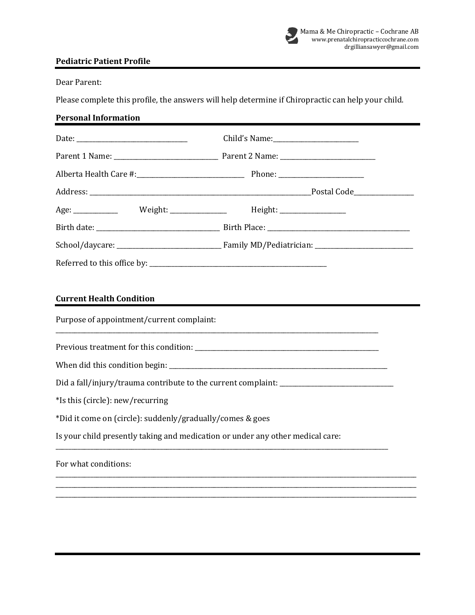

## **Pediatric Patient Profile**

Dear Parent:

Please complete this profile, the answers will help determine if Chiropractic can help your child.

## **Personal Information**

| Age: ______________  Weight: _________________  Height: ________________________ |  |  |  |
|----------------------------------------------------------------------------------|--|--|--|
|                                                                                  |  |  |  |
|                                                                                  |  |  |  |
|                                                                                  |  |  |  |
| <b>Current Health Condition</b><br>Purpose of appointment/current complaint:     |  |  |  |
|                                                                                  |  |  |  |
|                                                                                  |  |  |  |
| *Is this (circle): new/recurring                                                 |  |  |  |
| *Did it come on (circle): suddenly/gradually/comes & goes                        |  |  |  |
| Is your child presently taking and medication or under any other medical care:   |  |  |  |
| For what conditions:                                                             |  |  |  |

\_\_\_\_\_\_\_\_\_\_\_\_\_\_\_\_\_\_\_\_\_\_\_\_\_\_\_\_\_\_\_\_\_\_\_\_\_\_\_\_\_\_\_\_\_\_\_\_\_\_\_\_\_\_\_\_\_\_\_\_\_\_\_\_\_\_\_\_\_\_\_\_\_\_\_\_\_\_\_\_\_\_\_\_\_\_\_\_\_\_\_\_\_\_\_\_\_\_\_\_\_\_\_\_\_\_\_\_\_\_\_\_\_\_ \_\_\_\_\_\_\_\_\_\_\_\_\_\_\_\_\_\_\_\_\_\_\_\_\_\_\_\_\_\_\_\_\_\_\_\_\_\_\_\_\_\_\_\_\_\_\_\_\_\_\_\_\_\_\_\_\_\_\_\_\_\_\_\_\_\_\_\_\_\_\_\_\_\_\_\_\_\_\_\_\_\_\_\_\_\_\_\_\_\_\_\_\_\_\_\_\_\_\_\_\_\_\_\_\_\_\_\_\_\_\_\_\_\_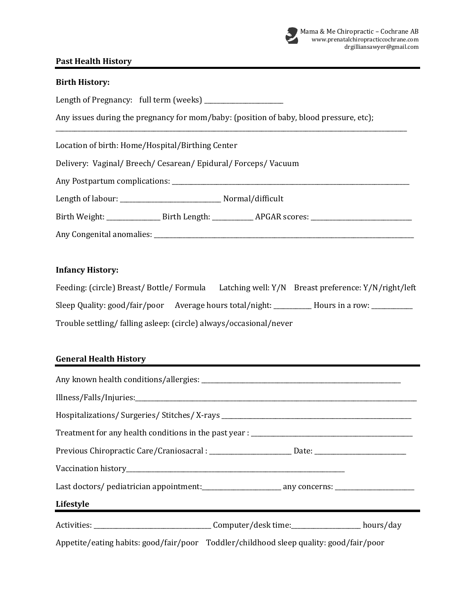

# **Past Health History**

| <b>Birth History:</b>                                                                                |  |  |  |  |
|------------------------------------------------------------------------------------------------------|--|--|--|--|
| Length of Pregnancy: full term (weeks) _______________________                                       |  |  |  |  |
| Any issues during the pregnancy for mom/baby: (position of baby, blood pressure, etc);               |  |  |  |  |
| Location of birth: Home/Hospital/Birthing Center                                                     |  |  |  |  |
| Delivery: Vaginal/Breech/Cesarean/Epidural/Forceps/Vacuum                                            |  |  |  |  |
|                                                                                                      |  |  |  |  |
|                                                                                                      |  |  |  |  |
|                                                                                                      |  |  |  |  |
|                                                                                                      |  |  |  |  |
| <b>Infancy History:</b>                                                                              |  |  |  |  |
| Feeding: (circle) Breast/Bottle/Formula Latching well: Y/N Breast preference: Y/N/right/left         |  |  |  |  |
| Sleep Quality: good/fair/poor Average hours total/night: __________ Hours in a row: __________       |  |  |  |  |
| Trouble settling/ falling asleep: (circle) always/occasional/never                                   |  |  |  |  |
|                                                                                                      |  |  |  |  |
| <b>General Health History</b>                                                                        |  |  |  |  |
|                                                                                                      |  |  |  |  |
|                                                                                                      |  |  |  |  |
|                                                                                                      |  |  |  |  |
|                                                                                                      |  |  |  |  |
| Previous Chiropractic Care/Craniosacral : ________________________Date: ____________________________ |  |  |  |  |
|                                                                                                      |  |  |  |  |
|                                                                                                      |  |  |  |  |
| Lifestyle<br><u> 1989 - Johann Barnett, fransk politiker (d. 1989)</u>                               |  |  |  |  |
|                                                                                                      |  |  |  |  |
| Appetite/eating habits: good/fair/poor Toddler/childhood sleep quality: good/fair/poor               |  |  |  |  |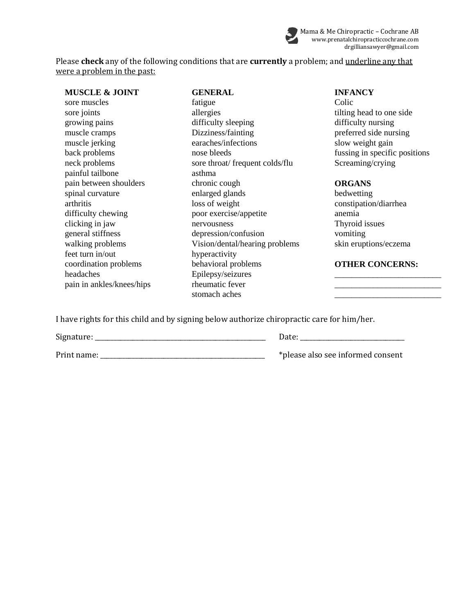

Please **check** any of the following conditions that are **currently** a problem; and underline any that were a problem in the past:

| <b>MUSCLE &amp; JOINT</b> | <b>GENERAL</b>                  | <b>INFANCY</b>                |
|---------------------------|---------------------------------|-------------------------------|
| sore muscles              | fatigue                         | Colic                         |
| sore joints               | allergies                       | tilting head to one side      |
| growing pains             | difficulty sleeping             | difficulty nursing            |
| muscle cramps             | Dizziness/fainting              | preferred side nursing        |
| muscle jerking            | earaches/infections             | slow weight gain              |
| back problems             | nose bleeds                     | fussing in specific positions |
| neck problems             | sore throat/ frequent colds/flu | Screaming/crying              |
| painful tailbone          | asthma                          |                               |
| pain between shoulders    | chronic cough                   | <b>ORGANS</b>                 |
| spinal curvature          | enlarged glands                 | bedwetting                    |
| arthritis                 | loss of weight                  | constipation/diarrhea         |
| difficulty chewing        | poor exercise/appetite          | anemia                        |
| clicking in jaw           | nervousness                     | Thyroid issues                |
| general stiffness         | depression/confusion            | vomiting                      |
| walking problems          | Vision/dental/hearing problems  | skin eruptions/eczema         |
| feet turn in/out          | hyperactivity                   |                               |
| coordination problems     | behavioral problems             | <b>OTHER CONCERNS:</b>        |
| headaches                 | Epilepsy/seizures               |                               |
| pain in ankles/knees/hips | rheumatic fever                 |                               |
|                           | stomach aches                   |                               |

### **INFANCY**

#### **ORGANS**

## coordination problems behavioral problems **OTHER CONCERNS:**

I have rights for this child and by signing below authorize chiropractic care for him/her.

Signature: \_\_\_\_\_\_\_\_\_\_\_\_\_\_\_\_\_\_\_\_\_\_\_\_\_\_\_\_\_\_\_\_\_\_\_\_\_\_\_\_\_\_\_\_\_\_\_\_\_\_\_\_\_\_ Date: \_\_\_\_\_\_\_\_\_\_\_\_\_\_\_\_\_\_\_\_\_\_\_\_\_\_\_\_\_\_\_\_\_

Print name: \_\_\_\_\_\_\_\_\_\_\_\_\_\_\_\_\_\_\_\_\_\_\_\_\_\_\_\_\_\_\_\_\_\_\_\_\_\_\_\_\_\_\_\_\_\_\_\_\_\_\_\_ \*please also see informed consent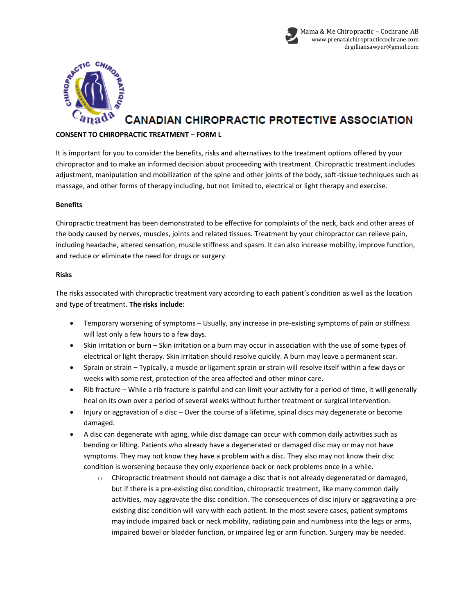



## **CANADIAN CHIROPRACTIC PROTECTIVE ASSOCIATION**

#### **CONSENT TO CHIROPRACTIC TREATMENT – FORM L**

It is important for you to consider the benefits, risks and alternatives to the treatment options offered by your chiropractor and to make an informed decision about proceeding with treatment. Chiropractic treatment includes adjustment, manipulation and mobilization of the spine and other joints of the body, soft-tissue techniques such as massage, and other forms of therapy including, but not limited to, electrical or light therapy and exercise.

#### **Benefits**

Chiropractic treatment has been demonstrated to be effective for complaints of the neck, back and other areas of the body caused by nerves, muscles, joints and related tissues. Treatment by your chiropractor can relieve pain, including headache, altered sensation, muscle stiffness and spasm. It can also increase mobility, improve function, and reduce or eliminate the need for drugs or surgery.

#### **Risks**

The risks associated with chiropractic treatment vary according to each patient's condition as well as the location and type of treatment. **The risks include:**

- Temporary worsening of symptoms Usually, any increase in pre-existing symptoms of pain or stiffness will last only a few hours to a few days.
- Skin irritation or burn Skin irritation or a burn may occur in association with the use of some types of electrical or light therapy. Skin irritation should resolve quickly. A burn may leave a permanent scar.
- Sprain or strain Typically, a muscle or ligament sprain or strain will resolve itself within a few days or weeks with some rest, protection of the area affected and other minor care.
- Rib fracture While a rib fracture is painful and can limit your activity for a period of time, it will generally heal on its own over a period of several weeks without further treatment or surgical intervention.
- Injury or aggravation of a disc Over the course of a lifetime, spinal discs may degenerate or become damaged.
- A disc can degenerate with aging, while disc damage can occur with common daily activities such as bending or lifting. Patients who already have a degenerated or damaged disc may or may not have symptoms. They may not know they have a problem with a disc. They also may not know their disc condition is worsening because they only experience back or neck problems once in a while.
	- o Chiropractic treatment should not damage a disc that is not already degenerated or damaged, but if there is a pre-existing disc condition, chiropractic treatment, like many common daily activities, may aggravate the disc condition. The consequences of disc injury or aggravating a preexisting disc condition will vary with each patient. In the most severe cases, patient symptoms may include impaired back or neck mobility, radiating pain and numbness into the legs or arms, impaired bowel or bladder function, or impaired leg or arm function. Surgery may be needed.